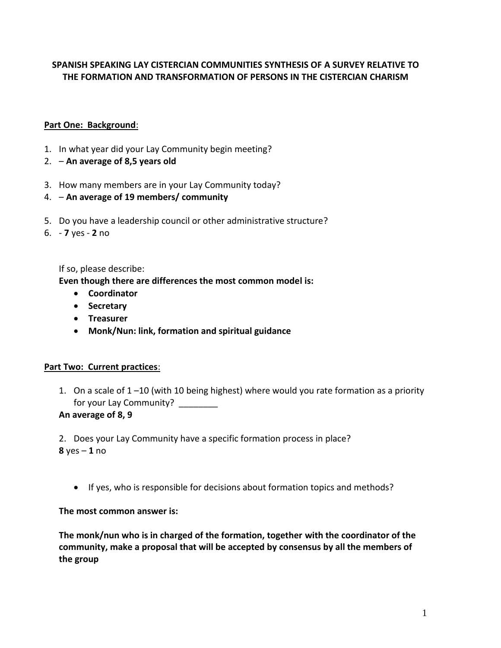# **SPANISH SPEAKING LAY CISTERCIAN COMMUNITIES SYNTHESIS OF A SURVEY RELATIVE TO THE FORMATION AND TRANSFORMATION OF PERSONS IN THE CISTERCIAN CHARISM**

## **Part One: Background**:

- 1. In what year did your Lay Community begin meeting?
- 2. **An average of 8,5 years old**
- 3. How many members are in your Lay Community today?
- 4. **An average of 19 members/ community**
- 5. Do you have a leadership council or other administrative structure?
- 6. **7** yes **2** no

If so, please describe:

**Even though there are differences the most common model is:**

- **Coordinator**
- **Secretary**
- **Treasurer**
- **Monk/Nun: link, formation and spiritual guidance**

#### **Part Two: Current practices**:

1. On a scale of 1 –10 (with 10 being highest) where would you rate formation as a priority for your Lay Community? \_\_\_\_\_\_\_\_

**An average of 8, 9**

2. Does your Lay Community have a specific formation process in place? **8** yes – **1** no

If yes, who is responsible for decisions about formation topics and methods?

**The most common answer is:**

**The monk/nun who is in charged of the formation, together with the coordinator of the community, make a proposal that will be accepted by consensus by all the members of the group**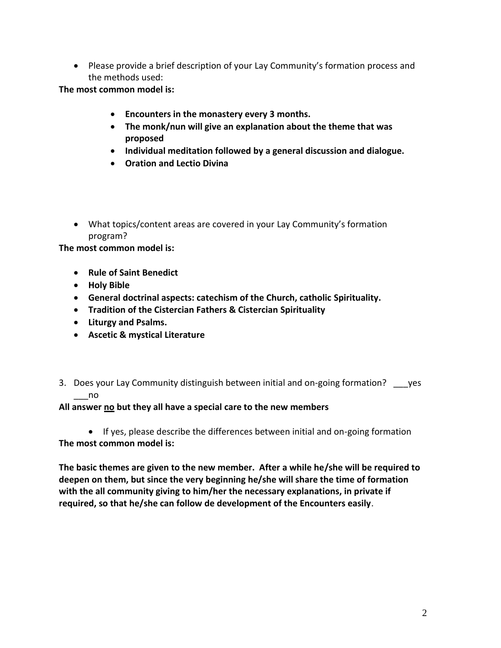• Please provide a brief description of your Lay Community's formation process and the methods used:

**The most common model is:**

- **Encounters in the monastery every 3 months.**
- **The monk/nun will give an explanation about the theme that was proposed**
- **Individual meditation followed by a general discussion and dialogue.**
- **Oration and Lectio Divina**
- What topics/content areas are covered in your Lay Community's formation program?

**The most common model is:**

- **Rule of Saint Benedict**
- **Holy Bible**
- **General doctrinal aspects: catechism of the Church, catholic Spirituality.**
- **Tradition of the Cistercian Fathers & Cistercian Spirituality**
- **Liturgy and Psalms.**
- **Ascetic & mystical Literature**
- 3. Does your Lay Community distinguish between initial and on-going formation? \_\_\_yes \_\_\_no

#### **All answer no but they all have a special care to the new members**

• If yes, please describe the differences between initial and on-going formation **The most common model is:**

**The basic themes are given to the new member. After a while he/she will be required to deepen on them, but since the very beginning he/she will share the time of formation with the all community giving to him/her the necessary explanations, in private if required, so that he/she can follow de development of the Encounters easily**.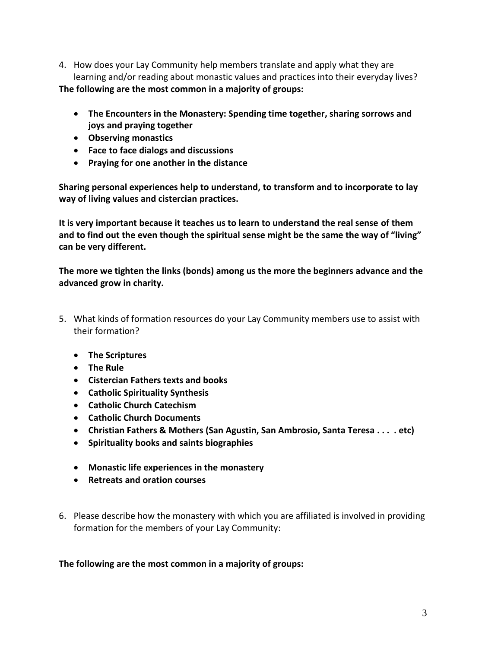- 4. How does your Lay Community help members translate and apply what they are learning and/or reading about monastic values and practices into their everyday lives? **The following are the most common in a majority of groups:**
	- **The Encounters in the Monastery: Spending time together, sharing sorrows and joys and praying together**
	- **Observing monastics**
	- **Face to face dialogs and discussions**
	- **Praying for one another in the distance**

**Sharing personal experiences help to understand, to transform and to incorporate to lay way of living values and cistercian practices.** 

**It is very important because it teaches us to learn to understand the real sense of them and to find out the even though the spiritual sense might be the same the way of "living" can be very different.**

**The more we tighten the links (bonds) among us the more the beginners advance and the advanced grow in charity.**

- 5. What kinds of formation resources do your Lay Community members use to assist with their formation?
	- **The Scriptures**
	- **The Rule**
	- **Cistercian Fathers texts and books**
	- **Catholic Spirituality Synthesis**
	- **Catholic Church Catechism**
	- **Catholic Church Documents**
	- **Christian Fathers & Mothers (San Agustin, San Ambrosio, Santa Teresa . . . . etc)**
	- **Spirituality books and saints biographies**
	- **Monastic life experiences in the monastery**
	- **Retreats and oration courses**
- 6. Please describe how the monastery with which you are affiliated is involved in providing formation for the members of your Lay Community:

# **The following are the most common in a majority of groups:**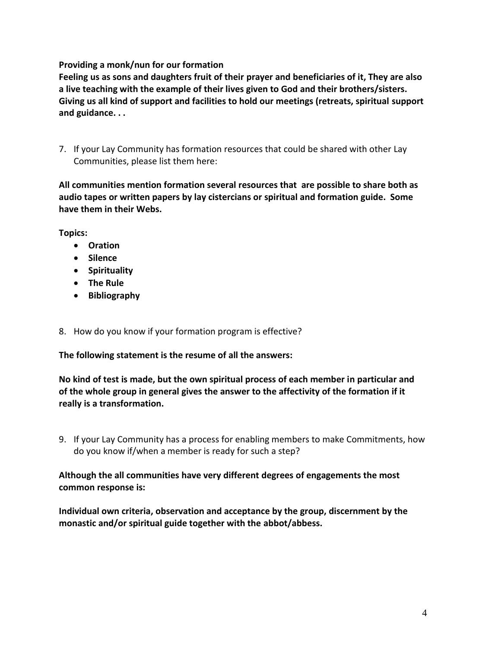### **Providing a monk/nun for our formation**

**Feeling us as sons and daughters fruit of their prayer and beneficiaries of it, They are also a live teaching with the example of their lives given to God and their brothers/sisters. Giving us all kind of support and facilities to hold our meetings (retreats, spiritual support and guidance. . .** 

7. If your Lay Community has formation resources that could be shared with other Lay Communities, please list them here:

**All communities mention formation several resources that are possible to share both as audio tapes or written papers by lay cistercians or spiritual and formation guide. Some have them in their Webs.**

**Topics:**

- **Oration**
- **•** Silence
- **Spirituality**
- **The Rule**
- **Bibliography**
- 8. How do you know if your formation program is effective?

**The following statement is the resume of all the answers:**

**No kind of test is made, but the own spiritual process of each member in particular and of the whole group in general gives the answer to the affectivity of the formation if it really is a transformation.**

9. If your Lay Community has a process for enabling members to make Commitments, how do you know if/when a member is ready for such a step?

### **Although the all communities have very different degrees of engagements the most common response is:**

**Individual own criteria, observation and acceptance by the group, discernment by the monastic and/or spiritual guide together with the abbot/abbess.**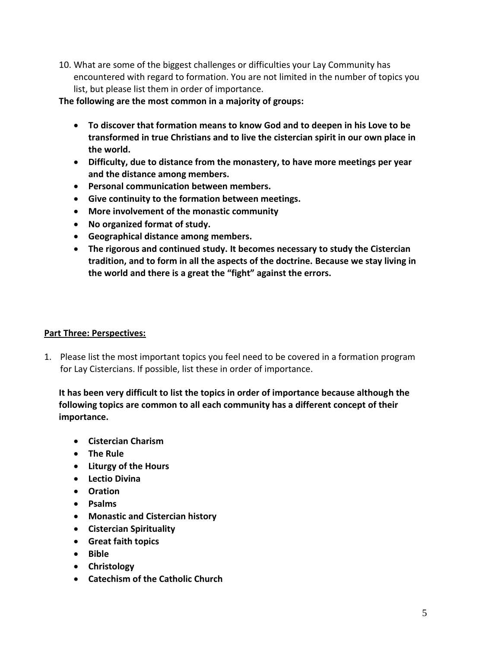10. What are some of the biggest challenges or difficulties your Lay Community has encountered with regard to formation. You are not limited in the number of topics you list, but please list them in order of importance.

### **The following are the most common in a majority of groups:**

- **To discover that formation means to know God and to deepen in his Love to be transformed in true Christians and to live the cistercian spirit in our own place in the world.**
- **Difficulty, due to distance from the monastery, to have more meetings per year and the distance among members.**
- **Personal communication between members.**
- **Give continuity to the formation between meetings.**
- **More involvement of the monastic community**
- **No organized format of study.**
- **Geographical distance among members.**
- **The rigorous and continued study. It becomes necessary to study the Cistercian tradition, and to form in all the aspects of the doctrine. Because we stay living in the world and there is a great the "fight" against the errors.**

#### **Part Three: Perspectives:**

1. Please list the most important topics you feel need to be covered in a formation program for Lay Cistercians. If possible, list these in order of importance.

# **It has been very difficult to list the topics in order of importance because although the following topics are common to all each community has a different concept of their importance.**

- **Cistercian Charism**
- **The Rule**
- **Liturgy of the Hours**
- **Lectio Divina**
- **Oration**
- **Psalms**
- **Monastic and Cistercian history**
- **Cistercian Spirituality**
- **Great faith topics**
- **Bible**
- **Christology**
- **Catechism of the Catholic Church**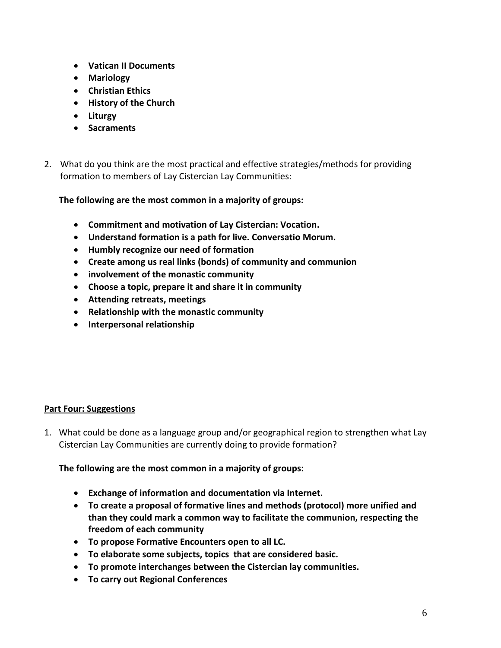- **Vatican II Documents**
- **Mariology**
- **Christian Ethics**
- **History of the Church**
- **Liturgy**
- **Sacraments**
- 2. What do you think are the most practical and effective strategies/methods for providing formation to members of Lay Cistercian Lay Communities:

## **The following are the most common in a majority of groups:**

- **Commitment and motivation of Lay Cistercian: Vocation.**
- **Understand formation is a path for live. Conversatio Morum.**
- **Humbly recognize our need of formation**
- **Create among us real links (bonds) of community and communion**
- **involvement of the monastic community**
- **Choose a topic, prepare it and share it in community**
- **Attending retreats, meetings**
- **Relationship with the monastic community**
- **Interpersonal relationship**

## **Part Four: Suggestions**

1. What could be done as a language group and/or geographical region to strengthen what Lay Cistercian Lay Communities are currently doing to provide formation?

**The following are the most common in a majority of groups:**

- **Exchange of information and documentation via Internet.**
- **To create a proposal of formative lines and methods (protocol) more unified and than they could mark a common way to facilitate the communion, respecting the freedom of each community**
- **To propose Formative Encounters open to all LC.**
- **To elaborate some subjects, topics that are considered basic.**
- **To promote interchanges between the Cistercian lay communities.**
- **To carry out Regional Conferences**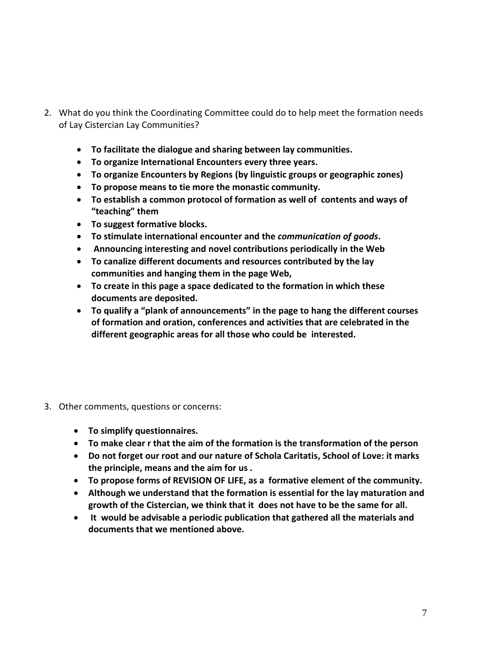- 2. What do you think the Coordinating Committee could do to help meet the formation needs of Lay Cistercian Lay Communities?
	- **To facilitate the dialogue and sharing between lay communities.**
	- **To organize International Encounters every three years.**
	- **To organize Encounters by Regions (by linguistic groups or geographic zones)**
	- **To propose means to tie more the monastic community.**
	- **To establish a common protocol of formation as well of contents and ways of "teaching" them**
	- **To suggest formative blocks.**
	- **To stimulate international encounter and the** *communication of goods***.**
	- **Announcing interesting and novel contributions periodically in the Web**
	- **To canalize different documents and resources contributed by the lay communities and hanging them in the page Web,**
	- **To create in this page a space dedicated to the formation in which these documents are deposited.**
	- **To qualify a "plank of announcements" in the page to hang the different courses of formation and oration, conferences and activities that are celebrated in the different geographic areas for all those who could be interested.**
- 3. Other comments, questions or concerns:
	- **To simplify questionnaires.**
	- **To make clear r that the aim of the formation is the transformation of the person**
	- **Do not forget our root and our nature of Schola Caritatis, School of Love: it marks the principle, means and the aim for us .**
	- **To propose forms of REVISION OF LIFE, as a formative element of the community.**
	- **Although we understand that the formation is essential for the lay maturation and growth of the Cistercian, we think that it does not have to be the same for all.**
	- **It would be advisable a periodic publication that gathered all the materials and documents that we mentioned above.**